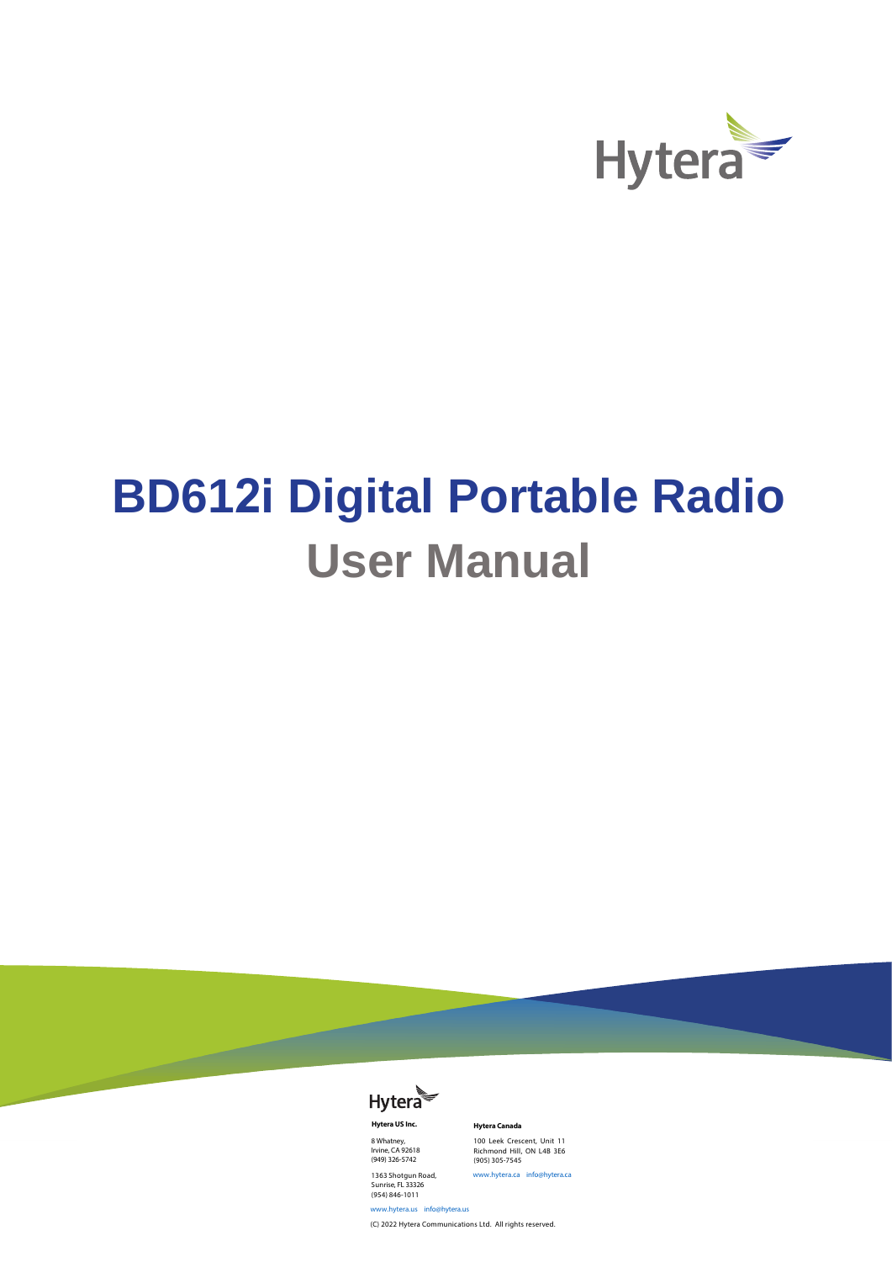

# **BD612i Digital Portable Radio User Manual**



**Hytera US Inc.**  8 Whatney, Irvine, CA 92618 (949) 326-5742

1363 Shotgun Road, Sunrise, FL 33326 (954) 846-1011

**Hytera Canada**  100 Leek Crescent, Unit 11 Richmond Hill, ON L4B 3E6 (905) 305-7545 www.hytera.ca info@hytera.ca

www.hytera.us info@hytera.us (C) 2022 Hytera Communications Ltd. All rights reserved.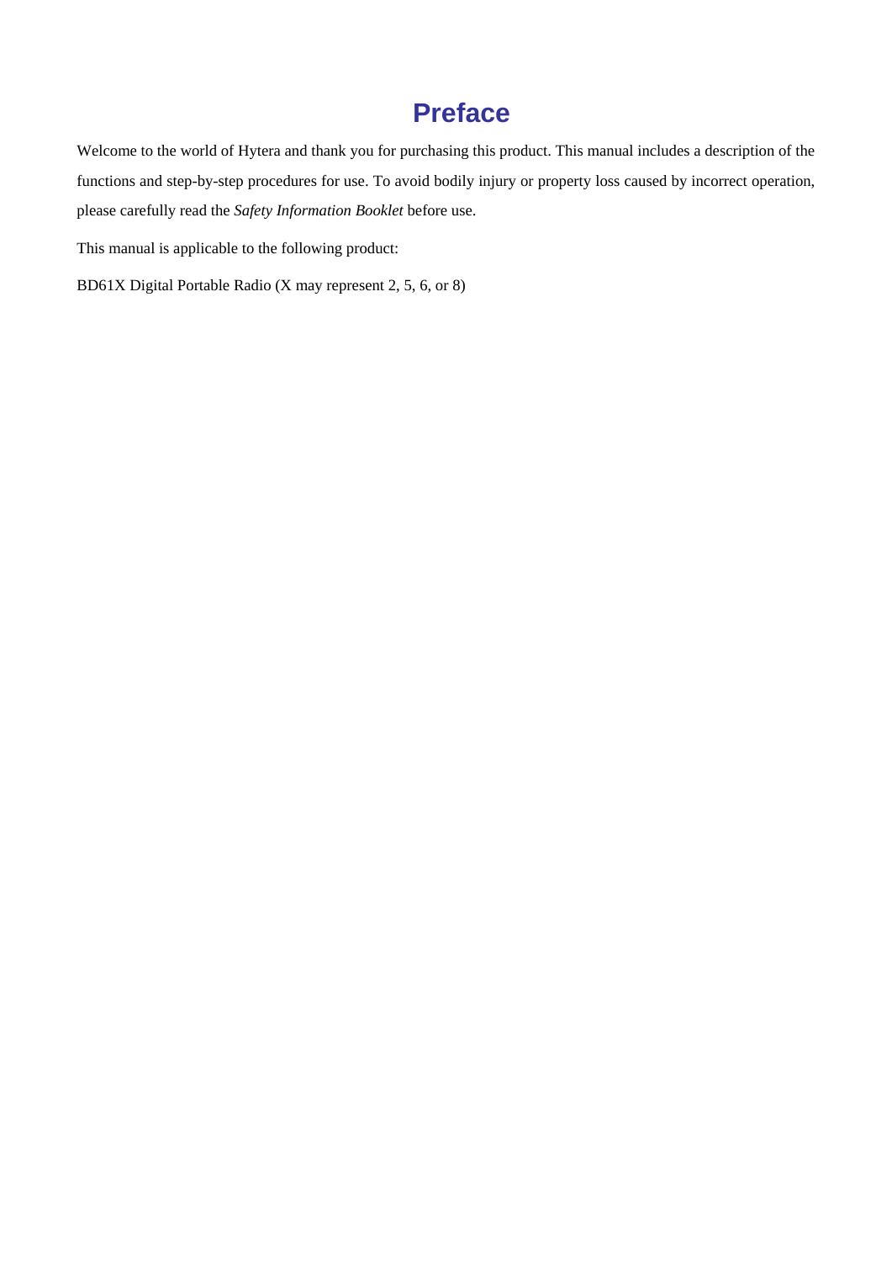### **Preface**

Welcome to the world of Hytera and thank you for purchasing this product. This manual includes a description of the functions and step-by-step procedures for use. To avoid bodily injury or property loss caused by incorrect operation, please carefully read the *Safety Information Booklet* before use.

This manual is applicable to the following product:

BD61X Digital Portable Radio (X may represent 2, 5, 6, or 8)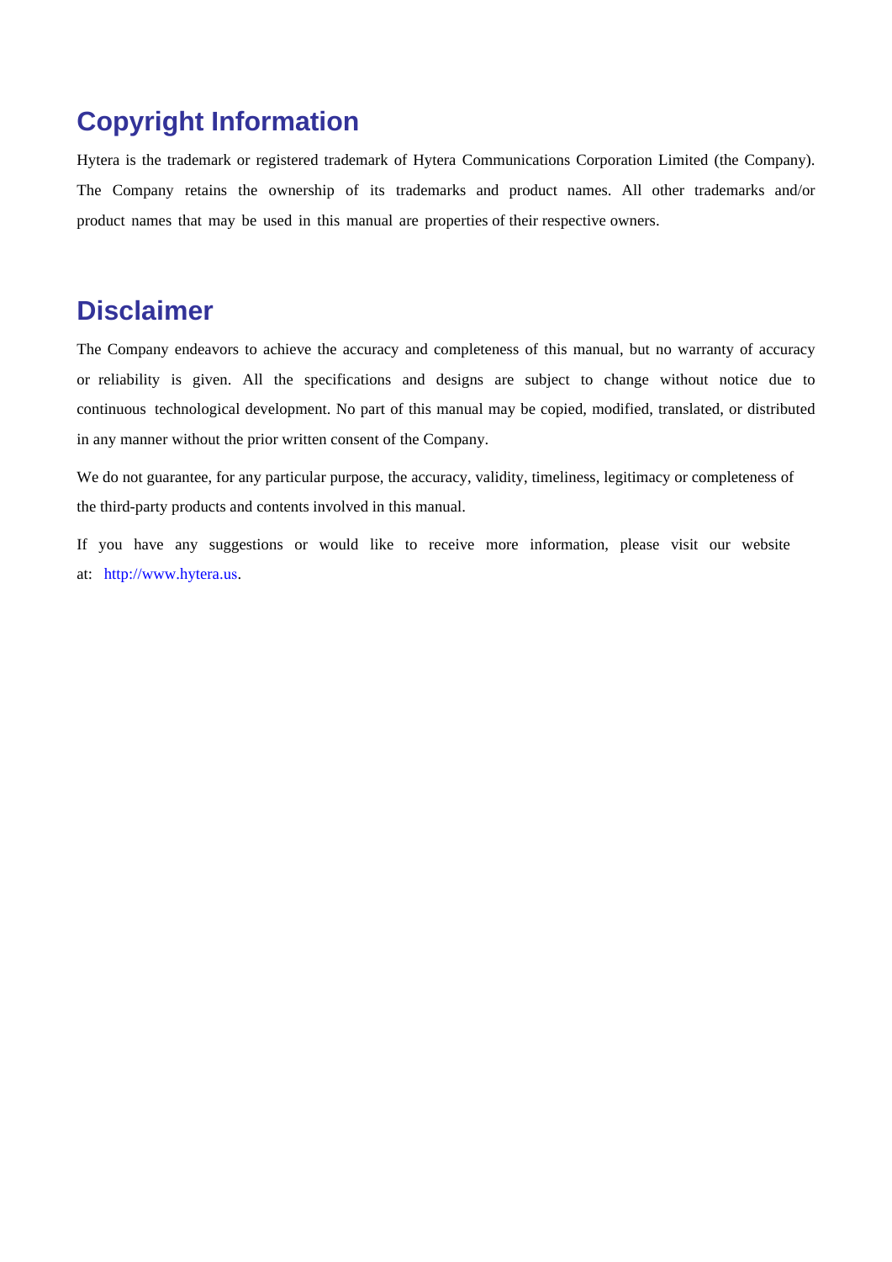#### **Copyright Information**

Hytera is the trademark or registered trademark of Hytera Communications Corporation Limited (the Company). The Company retains the ownership of its trademarks and product names. All other trademarks and/or product names that may be used in this manual are properties of their respective owners.

#### **Disclaimer**

The Company endeavors to achieve the accuracy and completeness of this manual, but no warranty of accuracy or reliability is given. All the specifications and designs are subject to change without notice due to continuous technological development. No part of this manual may be copied, modified, translated, or distributed in any manner without the prior written consent of the Company.

We do not guarantee, for any particular purpose, the accuracy, validity, timeliness, legitimacy or completeness of the third-party products and contents involved in this manual.

If you have any suggestions or would like to receive more information, please visit our website at: http://www.hytera.us.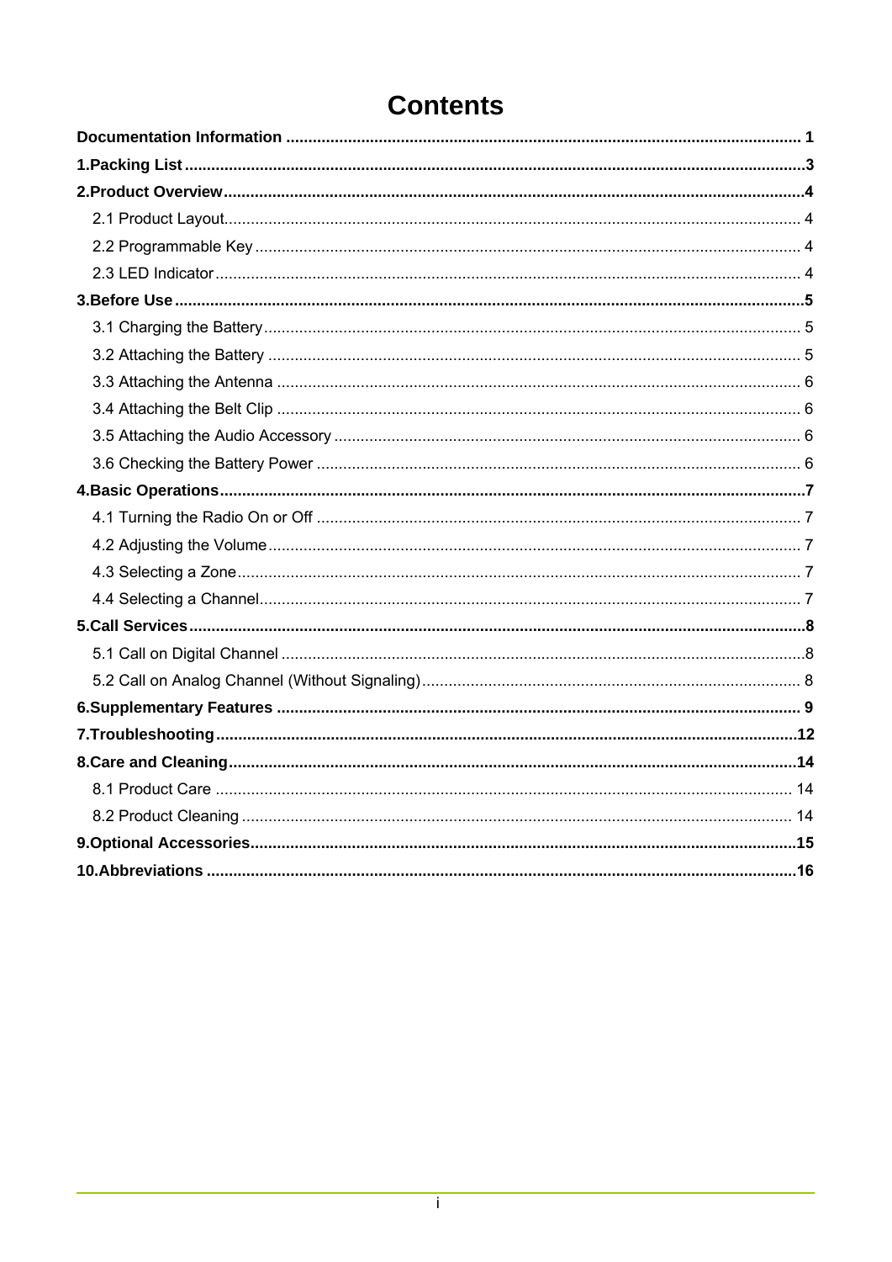### **Contents**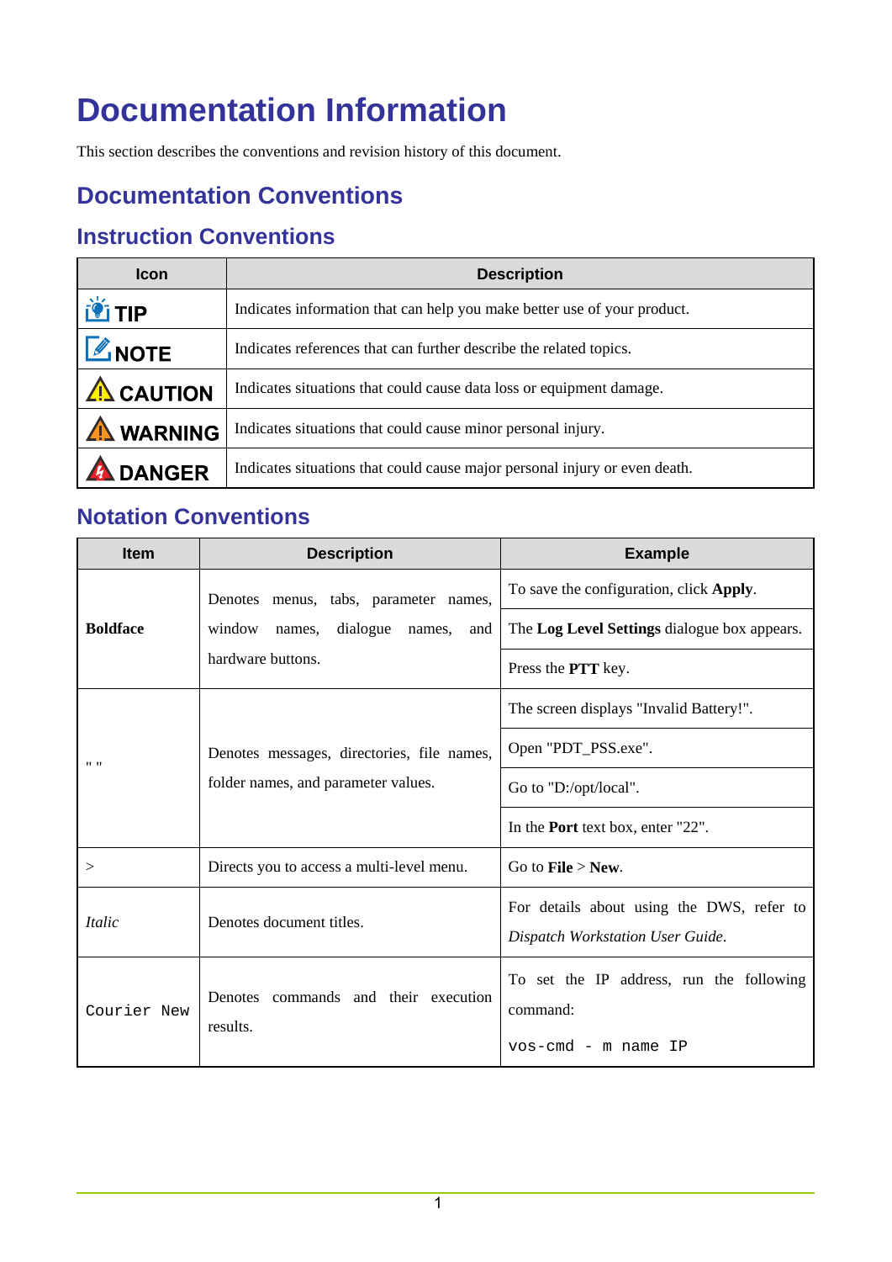### <span id="page-4-0"></span>**Documentation Information**

This section describes the conventions and revision history of this document.

#### **Documentation Conventions**

#### **Instruction Conventions**

| <b>Icon</b>       | <b>Description</b>                                                         |  |
|-------------------|----------------------------------------------------------------------------|--|
| <b>LE TIP</b>     | Indicates information that can help you make better use of your product.   |  |
| <b>L</b> NOTE     | Indicates references that can further describe the related topics.         |  |
| $\Lambda$ CAUTION | Indicates situations that could cause data loss or equipment damage.       |  |
| <b>WARNING</b>    | Indicates situations that could cause minor personal injury.               |  |
| <b>DANGER</b>     | Indicates situations that could cause major personal injury or even death. |  |

#### **Notation Conventions**

| <b>Item</b>     | <b>Description</b>                         | <b>Example</b>                                                                |
|-----------------|--------------------------------------------|-------------------------------------------------------------------------------|
|                 | Denotes menus, tabs, parameter names,      | To save the configuration, click Apply.                                       |
| <b>Boldface</b> | window names, dialogue names,<br>and       | The Log Level Settings dialogue box appears.                                  |
|                 | hardware buttons.                          | Press the PTT key.                                                            |
|                 |                                            | The screen displays "Invalid Battery!".                                       |
| $11 - 11$       | Denotes messages, directories, file names, | Open "PDT_PSS.exe".                                                           |
|                 | folder names, and parameter values.        | Go to "D:/opt/local".                                                         |
|                 |                                            | In the <b>Port</b> text box, enter "22".                                      |
| >               | Directs you to access a multi-level menu.  | Go to $\text{File} > \text{New}$ .                                            |
| <i>Italic</i>   | Denotes document titles.                   | For details about using the DWS, refer to<br>Dispatch Workstation User Guide. |
|                 |                                            |                                                                               |
| Courier New     | Denotes commands and their execution       | To set the IP address, run the following<br>command:                          |
|                 | results.                                   | vos-cmd - m name IP                                                           |
|                 |                                            |                                                                               |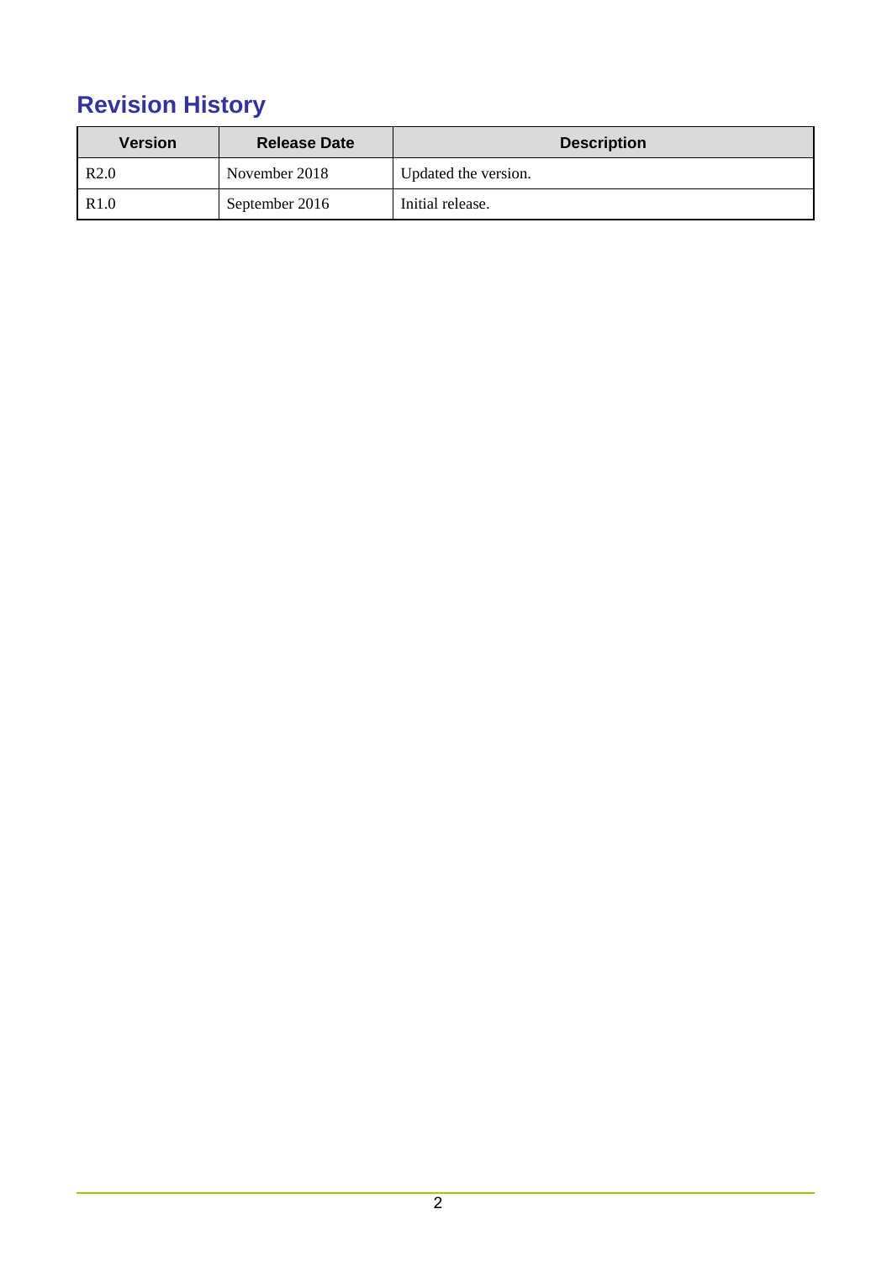### **Revision History**

| <b>Version</b>   | <b>Release Date</b> | <b>Description</b>   |
|------------------|---------------------|----------------------|
| R <sub>2.0</sub> | November 2018       | Updated the version. |
| R <sub>1.0</sub> | September 2016      | Initial release.     |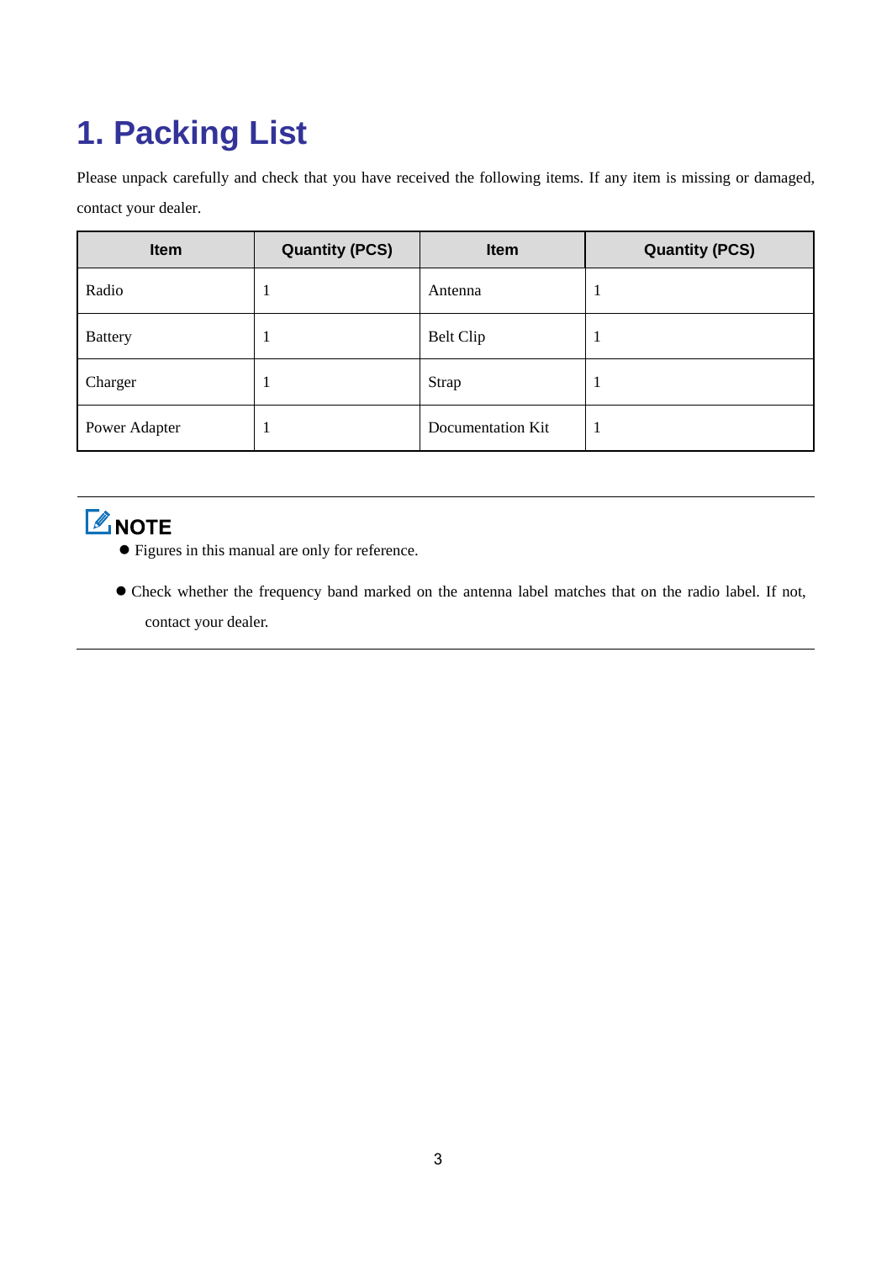## <span id="page-6-0"></span>**1. Packing List**

Please unpack carefully and check that you have received the following items. If any item is missing or damaged, contact your dealer.

| Item           | <b>Quantity (PCS)</b> | <b>Item</b>       | <b>Quantity (PCS)</b> |
|----------------|-----------------------|-------------------|-----------------------|
| Radio          |                       | Antenna           |                       |
| <b>Battery</b> | ı                     | Belt Clip         |                       |
| Charger        | л                     | Strap             | л                     |
| Power Adapter  |                       | Documentation Kit | л                     |

### **ZNOTE**

- Figures in this manual are only for reference.
- Check whether the frequency band marked on the antenna label matches that on the radio label. If not, contact your dealer.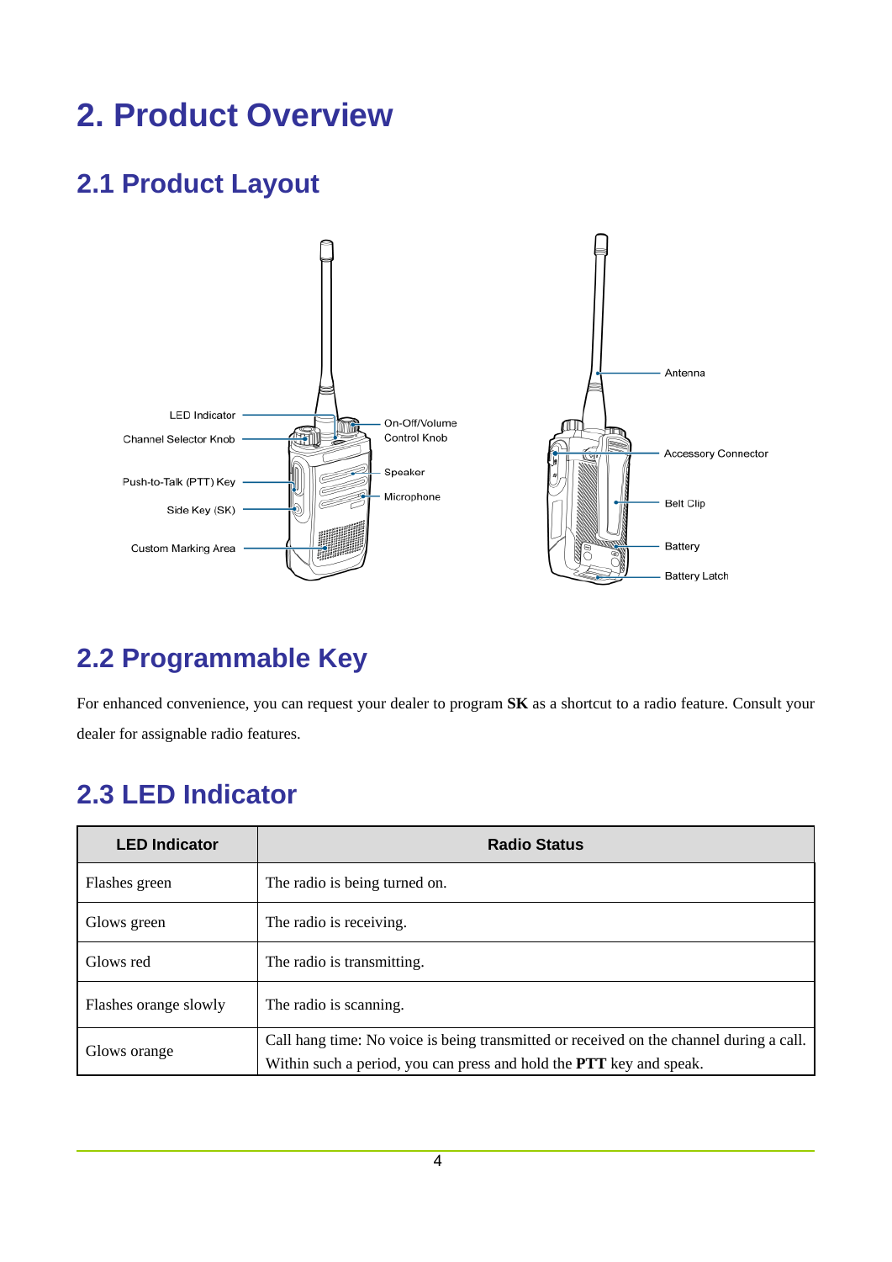### <span id="page-7-0"></span>**2. Product Overview**

### <span id="page-7-1"></span>**2.1 Product Layout**



### <span id="page-7-2"></span>**2.2 Programmable Key**

For enhanced convenience, you can request your dealer to program **SK** as a shortcut to a radio feature. Consult your dealer for assignable radio features.

### <span id="page-7-3"></span>**2.3 LED Indicator**

| <b>LED Indicator</b>  | <b>Radio Status</b>                                                                                                                                                   |
|-----------------------|-----------------------------------------------------------------------------------------------------------------------------------------------------------------------|
| Flashes green         | The radio is being turned on.                                                                                                                                         |
| Glows green           | The radio is receiving.                                                                                                                                               |
| Glows red             | The radio is transmitting.                                                                                                                                            |
| Flashes orange slowly | The radio is scanning.                                                                                                                                                |
| Glows orange          | Call hang time: No voice is being transmitted or received on the channel during a call.<br>Within such a period, you can press and hold the <b>PTT</b> key and speak. |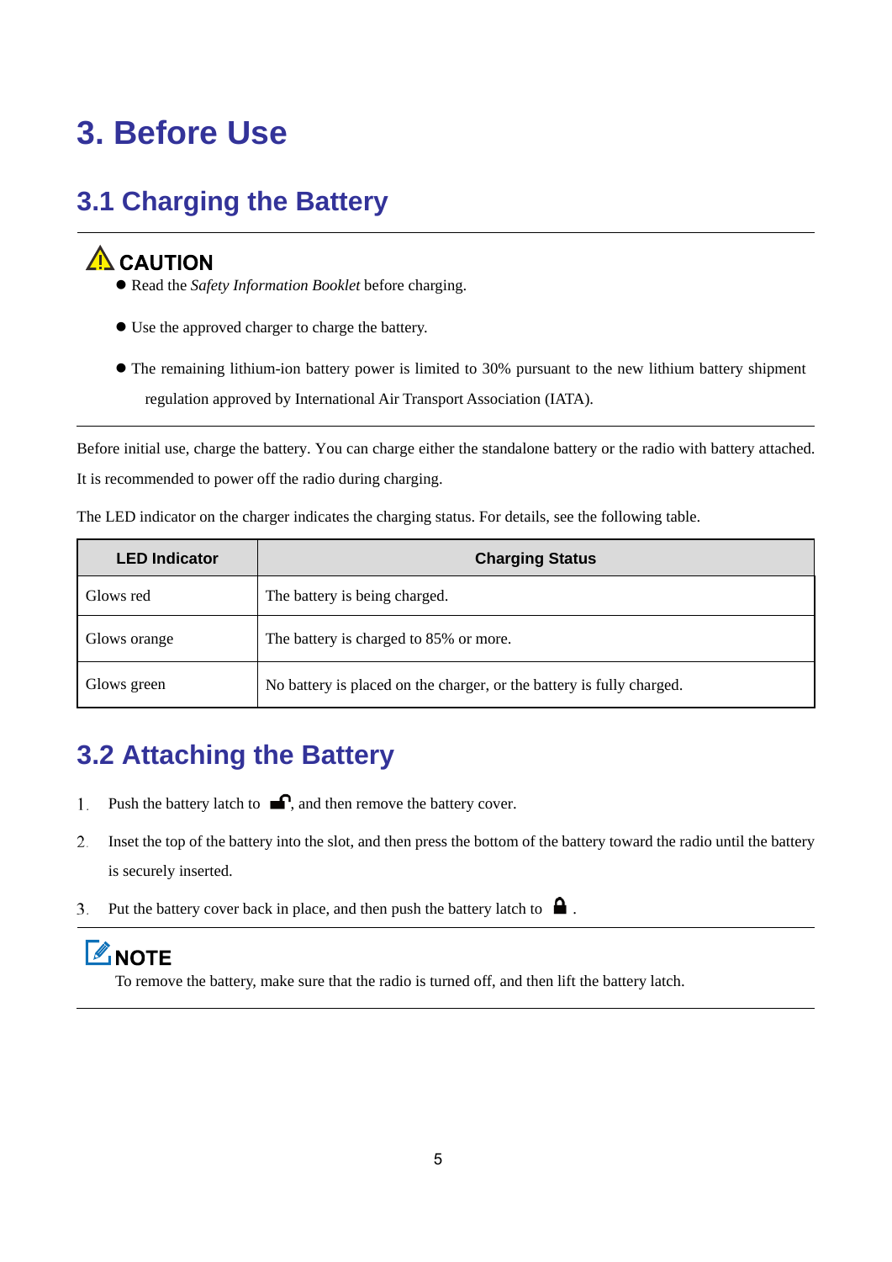### <span id="page-8-0"></span>**3. Before Use**

### <span id="page-8-1"></span>**3.1 Charging the Battery**

#### $\Lambda$  CAUTION

- Read the *Safety Information Booklet* before charging.
- Use the approved charger to charge the battery.
- The remaining lithium-ion battery power is limited to 30% pursuant to the new lithium battery shipment regulation approved by International Air Transport Association (IATA).

Before initial use, charge the battery. You can charge either the standalone battery or the radio with battery attached. It is recommended to power off the radio during charging.

The LED indicator on the charger indicates the charging status. For details, see the following table.

| <b>LED Indicator</b> | <b>Charging Status</b>                                                |
|----------------------|-----------------------------------------------------------------------|
| Glows red            | The battery is being charged.                                         |
| Glows orange         | The battery is charged to 85% or more.                                |
| Glows green          | No battery is placed on the charger, or the battery is fully charged. |

### <span id="page-8-2"></span>**3.2 Attaching the Battery**

- Push the battery latch to  $\blacksquare$ , and then remove the battery cover. 1.
- Inset the top of the battery into the slot, and then press the bottom of the battery toward the radio until the battery 2. is securely inserted.
- $3<sub>1</sub>$ Put the battery cover back in place, and then push the battery latch to  $\blacksquare$ .

### **ZNOTE**

To remove the battery, make sure that the radio is turned off, and then lift the battery latch.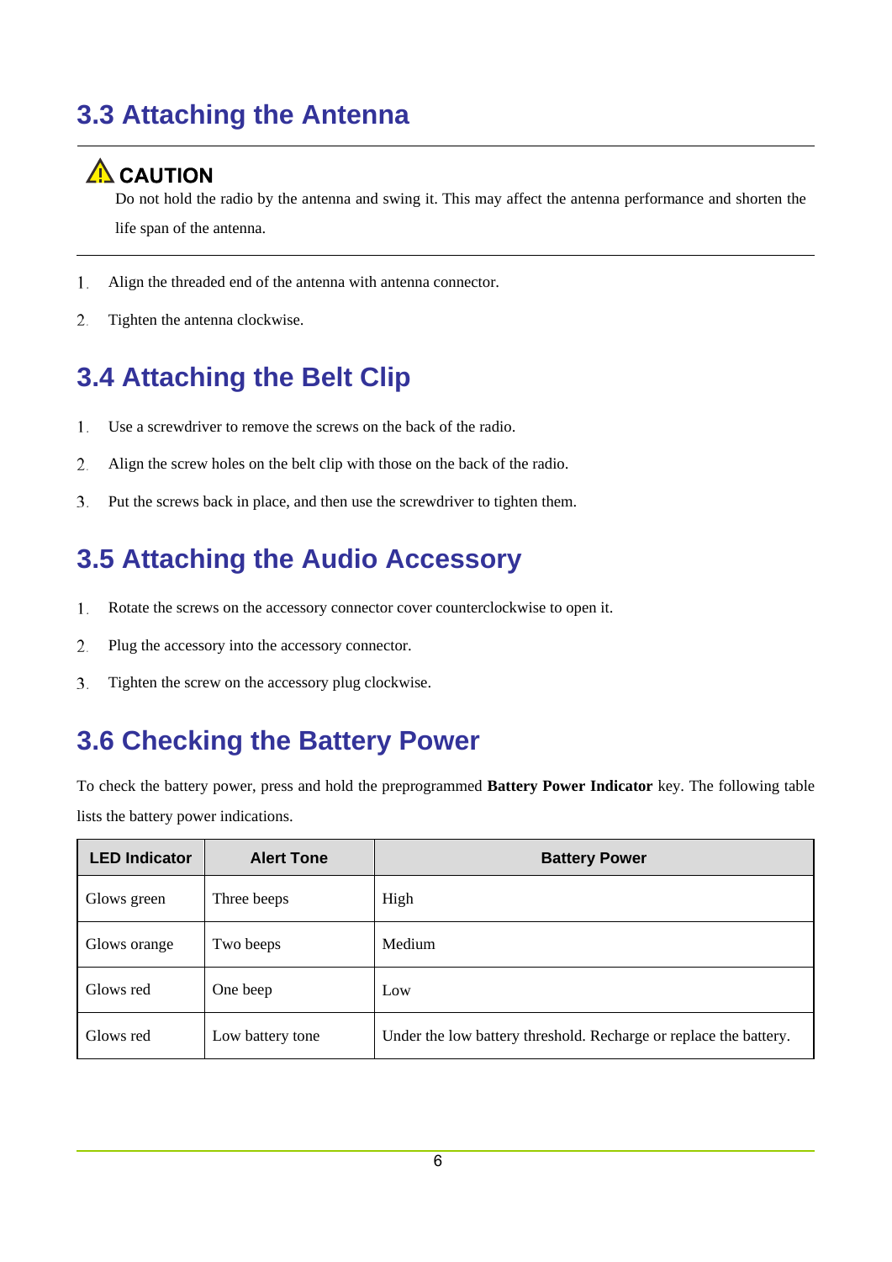### <span id="page-9-0"></span>**3.3 Attaching the Antenna**

#### A CAUTION

Do not hold the radio by the antenna and swing it. This may affect the antenna performance and shorten the life span of the antenna.

- 1. Align the threaded end of the antenna with antenna connector.
- Tighten the antenna clockwise. 2.

### <span id="page-9-1"></span>**3.4 Attaching the Belt Clip**

- Use a screwdriver to remove the screws on the back of the radio. 1.
- Align the screw holes on the belt clip with those on the back of the radio. 2.
- 3. Put the screws back in place, and then use the screwdriver to tighten them.

### <span id="page-9-2"></span>**3.5 Attaching the Audio Accessory**

- 1. Rotate the screws on the accessory connector cover counterclockwise to open it.
- 2. Plug the accessory into the accessory connector.
- $\overline{3}$ . Tighten the screw on the accessory plug clockwise.

### <span id="page-9-3"></span>**3.6 Checking the Battery Power**

To check the battery power, press and hold the preprogrammed **Battery Power Indicator** key. The following table lists the battery power indications.

| <b>LED Indicator</b> | <b>Alert Tone</b> | <b>Battery Power</b>                                              |
|----------------------|-------------------|-------------------------------------------------------------------|
| Glows green          | Three beeps       | High                                                              |
| Glows orange         | Two beeps         | Medium                                                            |
| Glows red            | One beep          | Low                                                               |
| Glows red            | Low battery tone  | Under the low battery threshold. Recharge or replace the battery. |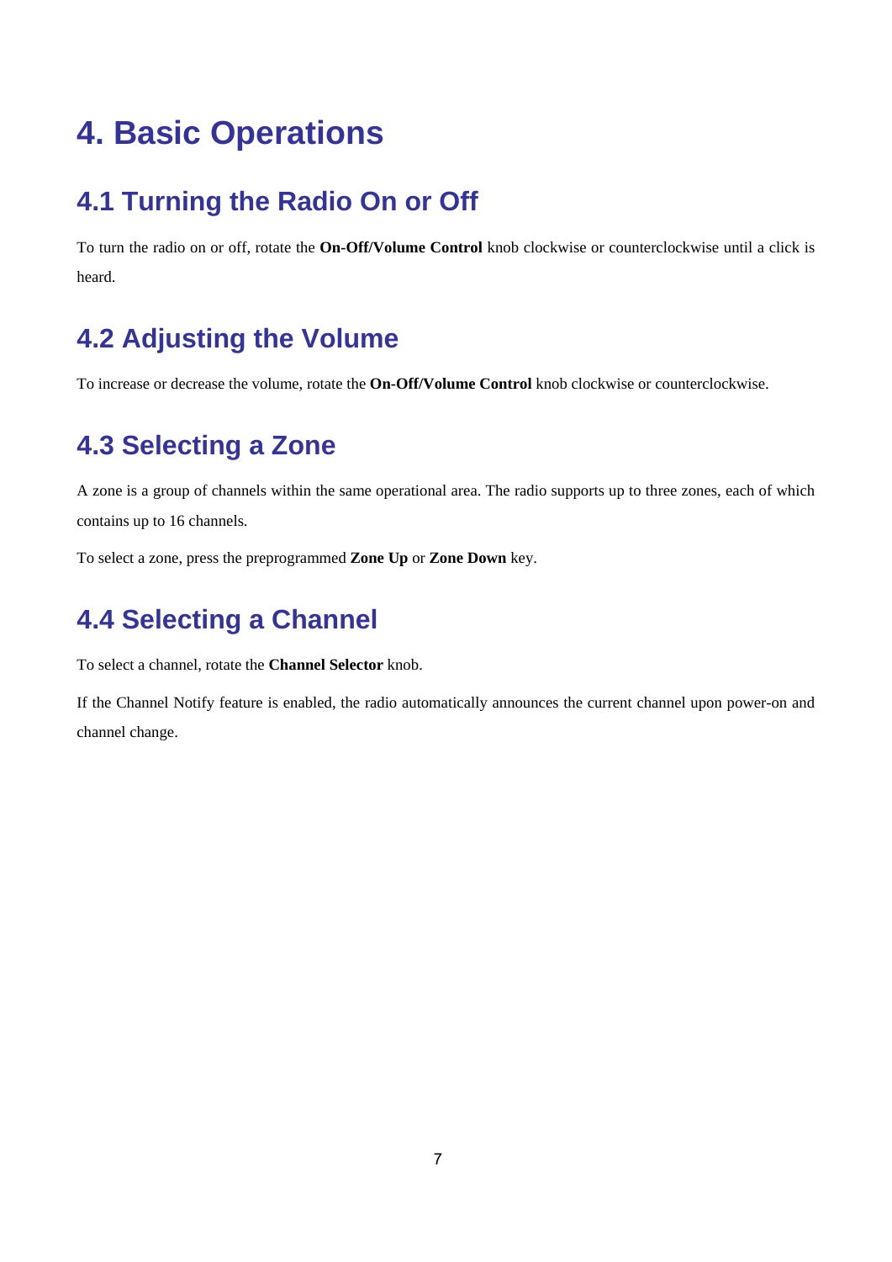### <span id="page-10-0"></span>**4. Basic Operations**

### <span id="page-10-1"></span>**4.1 Turning the Radio On or Off**

To turn the radio on or off, rotate the **On-Off/Volume Control** knob clockwise or counterclockwise until a click is heard.

### <span id="page-10-2"></span>**4.2 Adjusting the Volume**

To increase or decrease the volume, rotate the **On-Off/Volume Control** knob clockwise or counterclockwise.

### <span id="page-10-3"></span>**4.3 Selecting a Zone**

A zone is a group of channels within the same operational area. The radio supports up to three zones, each of which contains up to 16 channels.

To select a zone, press the preprogrammed **Zone Up** or **Zone Down** key.

### <span id="page-10-4"></span>**4.4 Selecting a Channel**

To select a channel, rotate the **Channel Selector** knob.

If the Channel Notify feature is enabled, the radio automatically announces the current channel upon power-on and channel change.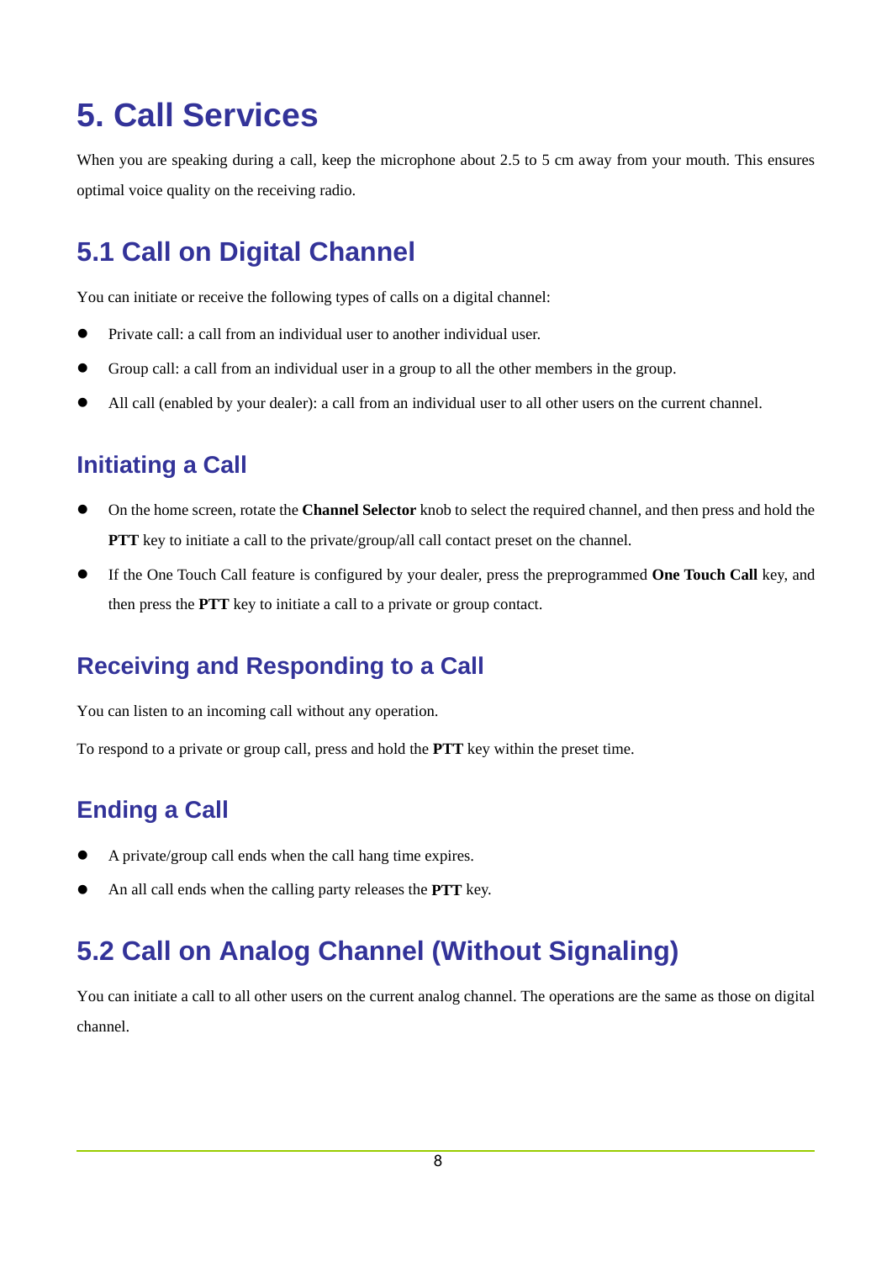### <span id="page-11-0"></span>**5. Call Services**

When you are speaking during a call, keep the microphone about 2.5 to 5 cm away from your mouth. This ensures optimal voice quality on the receiving radio.

### <span id="page-11-1"></span>**5.1 Call on Digital Channel**

You can initiate or receive the following types of calls on a digital channel:

- Private call: a call from an individual user to another individual user.
- Group call: a call from an individual user in a group to all the other members in the group.
- All call (enabled by your dealer): a call from an individual user to all other users on the current channel.

#### **Initiating a Call**

- On the home screen, rotate the **Channel Selector** knob to select the required channel, and then press and hold the **PTT** key to initiate a call to the private/group/all call contact preset on the channel.
- If the One Touch Call feature is configured by your dealer, press the preprogrammed **One Touch Call** key, and then press the **PTT** key to initiate a call to a private or group contact.

#### **Receiving and Responding to a Call**

You can listen to an incoming call without any operation.

To respond to a private or group call, press and hold the **PTT** key within the preset time.

#### **Ending a Call**

- A private/group call ends when the call hang time expires.
- <span id="page-11-2"></span>An all call ends when the calling party releases the **PTT** key.

### **5.2 Call on Analog Channel (Without Signaling)**

You can initiate a call to all other users on the current analog channel. The operations are the same as those on digital channel.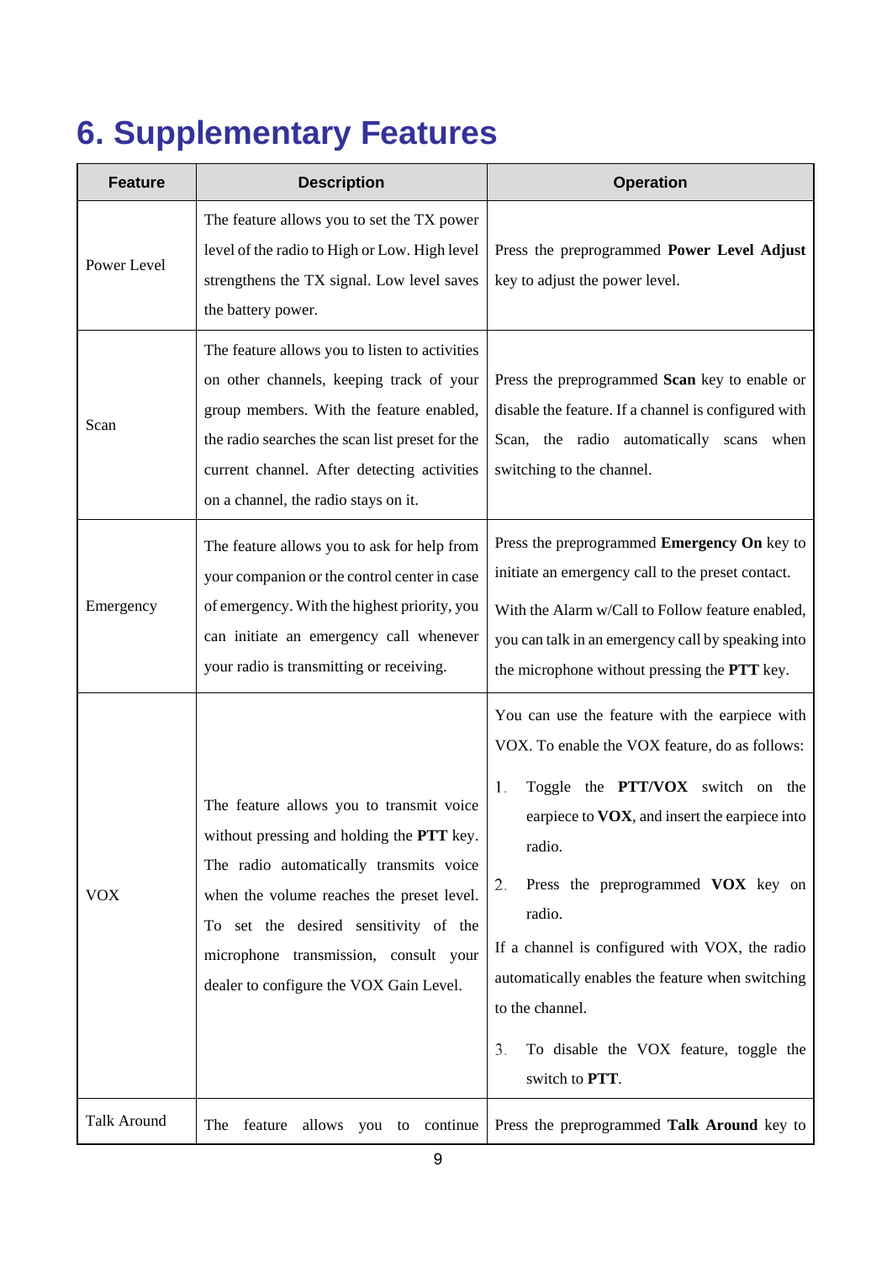### <span id="page-12-0"></span>**6. Supplementary Features**

| <b>Feature</b>     | <b>Description</b>                                                                                                                                                                                                                                                                                         | <b>Operation</b>                                                                                                                                                                                                                                                                                                                                                                                                                                              |
|--------------------|------------------------------------------------------------------------------------------------------------------------------------------------------------------------------------------------------------------------------------------------------------------------------------------------------------|---------------------------------------------------------------------------------------------------------------------------------------------------------------------------------------------------------------------------------------------------------------------------------------------------------------------------------------------------------------------------------------------------------------------------------------------------------------|
| Power Level        | The feature allows you to set the TX power<br>level of the radio to High or Low. High level<br>strengthens the TX signal. Low level saves<br>the battery power.                                                                                                                                            | Press the preprogrammed Power Level Adjust<br>key to adjust the power level.                                                                                                                                                                                                                                                                                                                                                                                  |
| Scan               | The feature allows you to listen to activities<br>on other channels, keeping track of your<br>group members. With the feature enabled,<br>the radio searches the scan list preset for the<br>current channel. After detecting activities<br>on a channel, the radio stays on it.                           | Press the preprogrammed Scan key to enable or<br>disable the feature. If a channel is configured with<br>Scan, the radio automatically scans<br>when<br>switching to the channel.                                                                                                                                                                                                                                                                             |
| Emergency          | The feature allows you to ask for help from<br>your companion or the control center in case<br>of emergency. With the highest priority, you<br>can initiate an emergency call whenever<br>your radio is transmitting or receiving.                                                                         | Press the preprogrammed Emergency On key to<br>initiate an emergency call to the preset contact.<br>With the Alarm w/Call to Follow feature enabled,<br>you can talk in an emergency call by speaking into<br>the microphone without pressing the PTT key.                                                                                                                                                                                                    |
| <b>VOX</b>         | The feature allows you to transmit voice<br>without pressing and holding the PTT key.<br>The radio automatically transmits voice<br>when the volume reaches the preset level.<br>To set the desired sensitivity of the<br>microphone transmission, consult your<br>dealer to configure the VOX Gain Level. | You can use the feature with the earpiece with<br>VOX. To enable the VOX feature, do as follows:<br>Toggle the <b>PTT/VOX</b> switch on the<br>1.<br>earpiece to VOX, and insert the earpiece into<br>radio.<br>Press the preprogrammed VOX key on<br>2.<br>radio.<br>If a channel is configured with VOX, the radio<br>automatically enables the feature when switching<br>to the channel.<br>To disable the VOX feature, toggle the<br>3.<br>switch to PTT. |
| <b>Talk Around</b> | feature<br>allows<br>to continue<br>The<br>you                                                                                                                                                                                                                                                             | Press the preprogrammed Talk Around key to                                                                                                                                                                                                                                                                                                                                                                                                                    |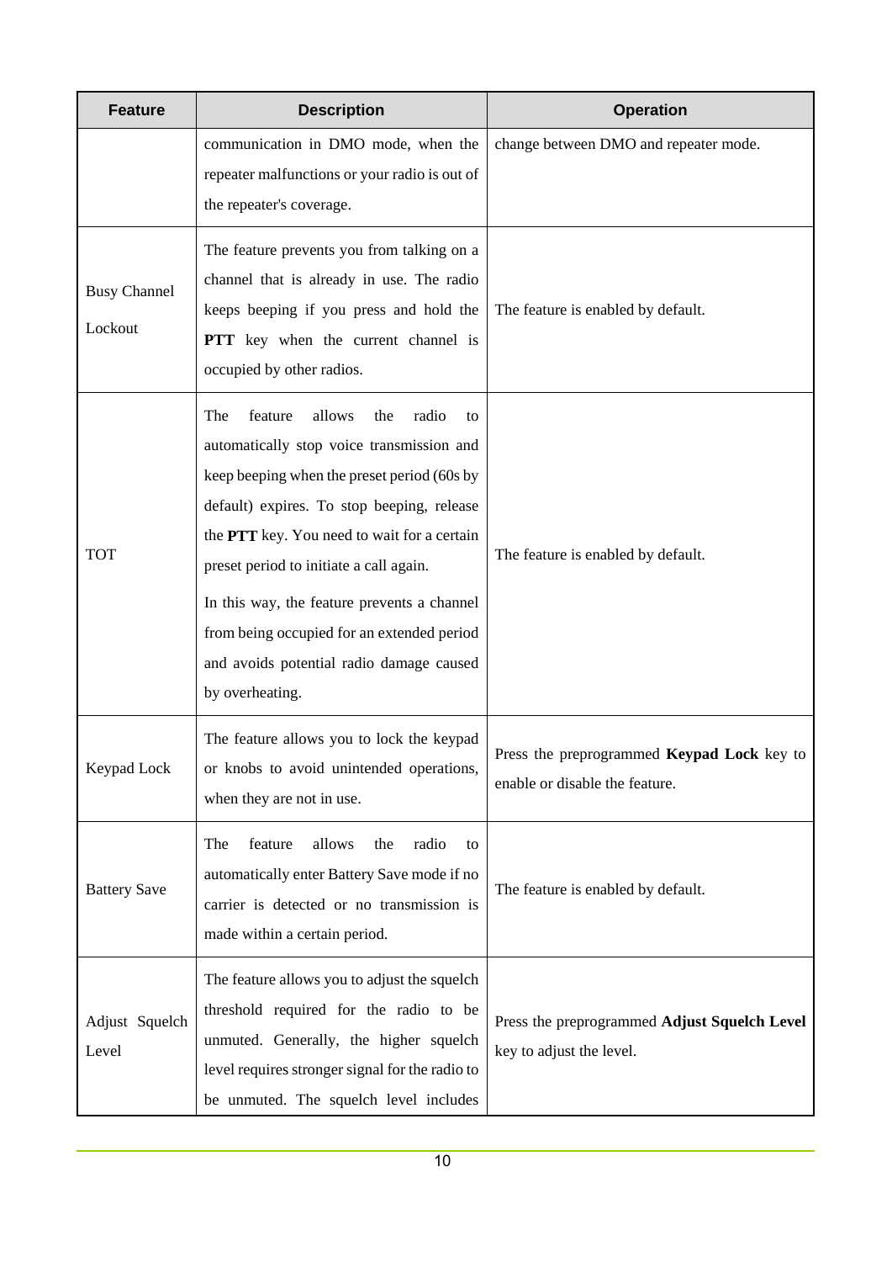| <b>Feature</b>                 | <b>Description</b>                                                                                                                                                                                                                                                                                                                                                                                                                             | <b>Operation</b>                                                                    |
|--------------------------------|------------------------------------------------------------------------------------------------------------------------------------------------------------------------------------------------------------------------------------------------------------------------------------------------------------------------------------------------------------------------------------------------------------------------------------------------|-------------------------------------------------------------------------------------|
|                                | communication in DMO mode, when the<br>repeater malfunctions or your radio is out of<br>the repeater's coverage.                                                                                                                                                                                                                                                                                                                               | change between DMO and repeater mode.                                               |
| <b>Busy Channel</b><br>Lockout | The feature prevents you from talking on a<br>channel that is already in use. The radio<br>keeps beeping if you press and hold the<br>PTT key when the current channel is<br>occupied by other radios.                                                                                                                                                                                                                                         | The feature is enabled by default.                                                  |
| <b>TOT</b>                     | allows<br>radio<br>feature<br>the<br>The<br>to<br>automatically stop voice transmission and<br>keep beeping when the preset period (60s by<br>default) expires. To stop beeping, release<br>the PTT key. You need to wait for a certain<br>preset period to initiate a call again.<br>In this way, the feature prevents a channel<br>from being occupied for an extended period<br>and avoids potential radio damage caused<br>by overheating. | The feature is enabled by default.                                                  |
| Keypad Lock                    | The feature allows you to lock the keypad<br>or knobs to avoid unintended operations,<br>when they are not in use.                                                                                                                                                                                                                                                                                                                             | Press the preprogrammed <b>Keypad Lock</b> key to<br>enable or disable the feature. |
| <b>Battery Save</b>            | feature<br>allows<br>radio<br>The<br>the<br>to<br>automatically enter Battery Save mode if no<br>carrier is detected or no transmission is<br>made within a certain period.                                                                                                                                                                                                                                                                    | The feature is enabled by default.                                                  |
| Adjust Squelch<br>Level        | The feature allows you to adjust the squelch<br>threshold required for the radio to be<br>unmuted. Generally, the higher squelch<br>level requires stronger signal for the radio to<br>be unmuted. The squelch level includes                                                                                                                                                                                                                  | Press the preprogrammed Adjust Squelch Level<br>key to adjust the level.            |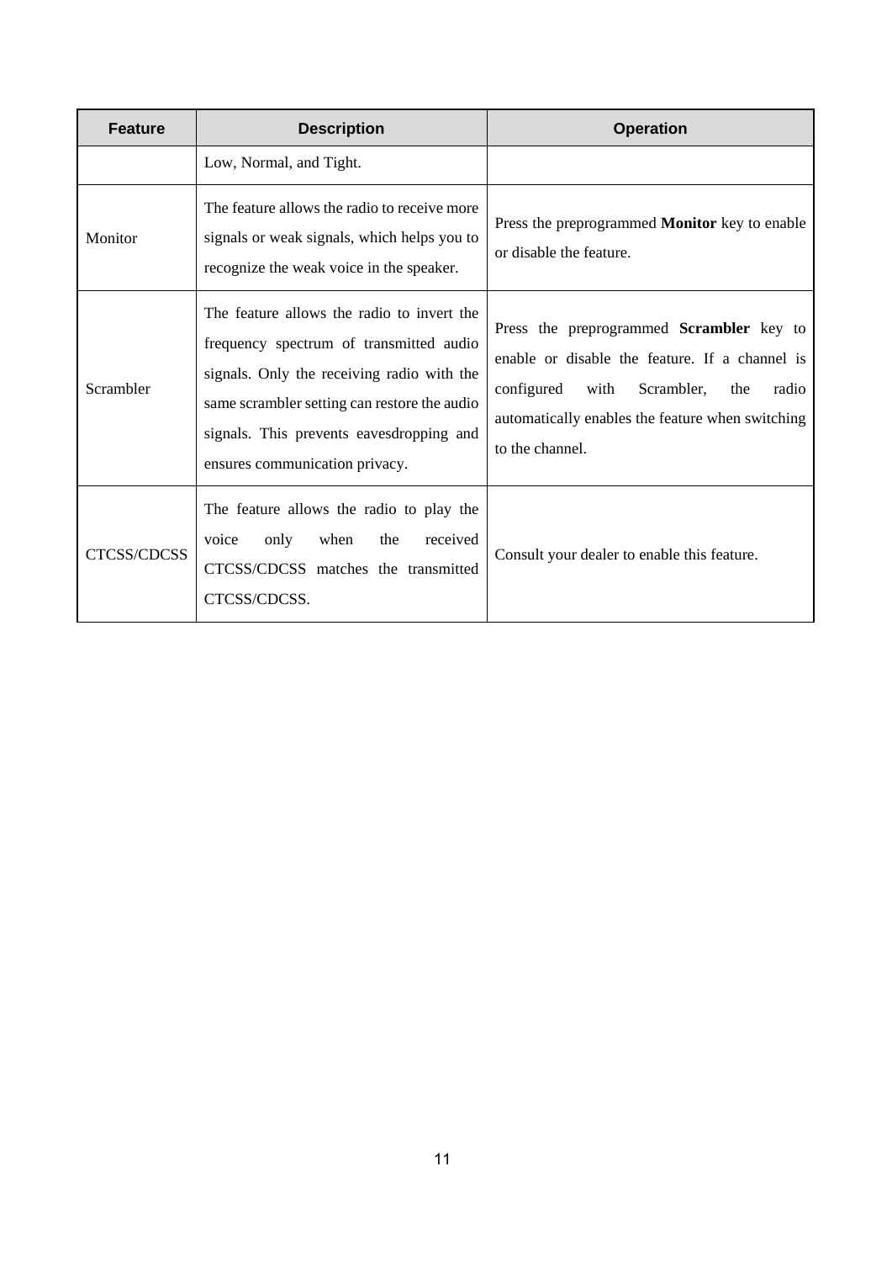| <b>Feature</b> | <b>Description</b>                                                                                                                                                                                                                                                | <b>Operation</b>                                                                                                                                                                                                   |
|----------------|-------------------------------------------------------------------------------------------------------------------------------------------------------------------------------------------------------------------------------------------------------------------|--------------------------------------------------------------------------------------------------------------------------------------------------------------------------------------------------------------------|
|                | Low, Normal, and Tight.                                                                                                                                                                                                                                           |                                                                                                                                                                                                                    |
| Monitor        | The feature allows the radio to receive more<br>signals or weak signals, which helps you to<br>recognize the weak voice in the speaker.                                                                                                                           | Press the preprogrammed <b>Monitor</b> key to enable<br>or disable the feature.                                                                                                                                    |
| Scrambler      | The feature allows the radio to invert the<br>frequency spectrum of transmitted audio<br>signals. Only the receiving radio with the<br>same scrambler setting can restore the audio<br>signals. This prevents eavesdropping and<br>ensures communication privacy. | Press the preprogrammed Scrambler key to<br>enable or disable the feature. If a channel is<br>Scrambler,<br>configured with<br>the<br>radio<br>automatically enables the feature when switching<br>to the channel. |
| CTCSS/CDCSS    | The feature allows the radio to play the<br>only<br>when<br>the<br>received<br>voice<br>CTCSS/CDCSS matches the transmitted<br>CTCSS/CDCSS.                                                                                                                       | Consult your dealer to enable this feature.                                                                                                                                                                        |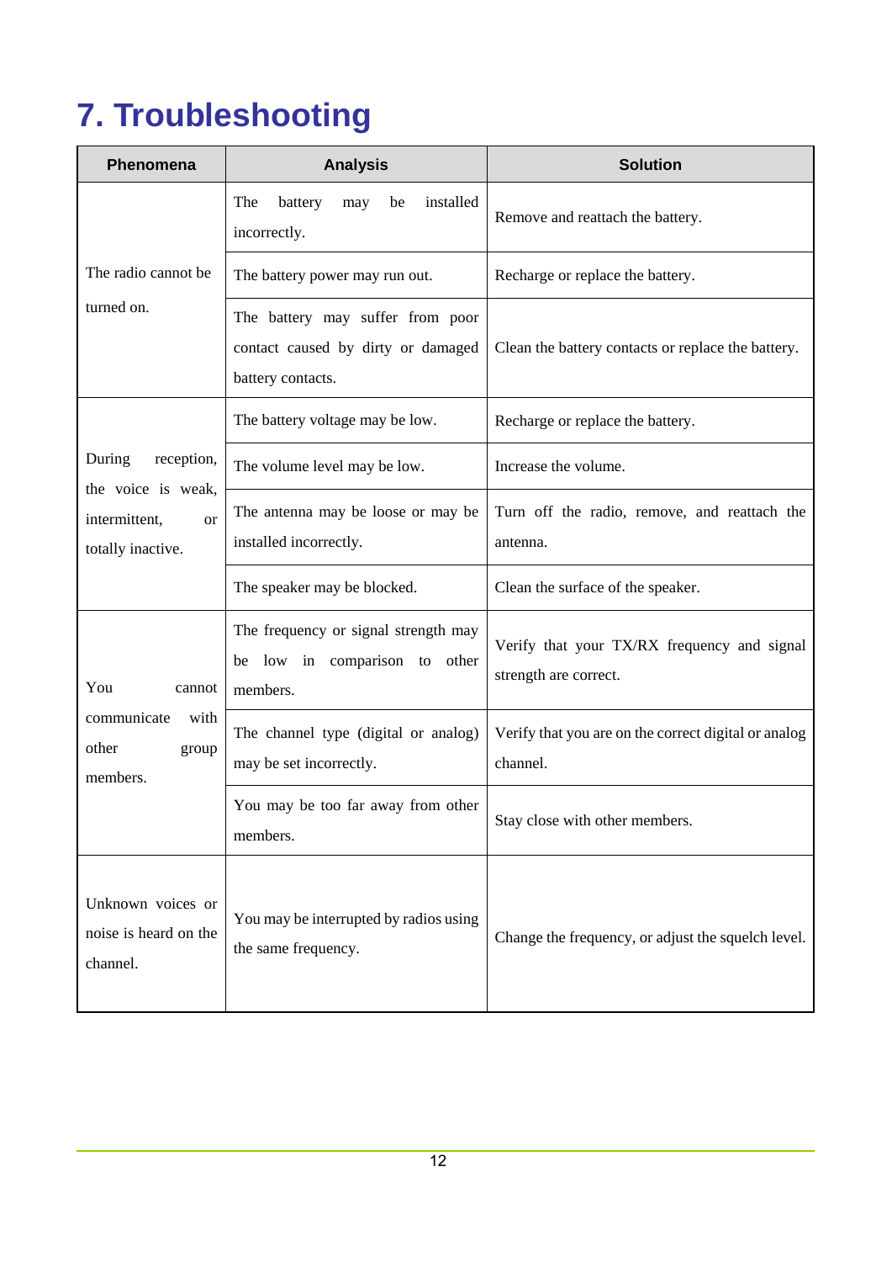## <span id="page-15-0"></span>**7. Troubleshooting**

| Phenomena                                                                 | <b>Analysis</b>                                                                             | <b>Solution</b>                                                      |
|---------------------------------------------------------------------------|---------------------------------------------------------------------------------------------|----------------------------------------------------------------------|
|                                                                           | installed<br>The<br>battery<br>may<br>be<br>incorrectly.                                    | Remove and reattach the battery.                                     |
| The radio cannot be                                                       | The battery power may run out.                                                              | Recharge or replace the battery.                                     |
| turned on.                                                                | The battery may suffer from poor<br>contact caused by dirty or damaged<br>battery contacts. | Clean the battery contacts or replace the battery.                   |
|                                                                           | The battery voltage may be low.                                                             | Recharge or replace the battery.                                     |
| During<br>reception,                                                      | The volume level may be low.                                                                | Increase the volume.                                                 |
| the voice is weak,<br>intermittent,<br><sub>or</sub><br>totally inactive. | The antenna may be loose or may be<br>installed incorrectly.                                | Turn off the radio, remove, and reattach the<br>antenna.             |
|                                                                           | The speaker may be blocked.                                                                 | Clean the surface of the speaker.                                    |
| You<br>cannot                                                             | The frequency or signal strength may<br>be low in comparison to other<br>members.           | Verify that your TX/RX frequency and signal<br>strength are correct. |
| communicate<br>with<br>other<br>group<br>members.                         | The channel type (digital or analog)<br>may be set incorrectly.                             | Verify that you are on the correct digital or analog<br>channel.     |
|                                                                           | You may be too far away from other<br>members.                                              | Stay close with other members.                                       |
| Unknown voices or<br>noise is heard on the<br>channel.                    | You may be interrupted by radios using<br>the same frequency.                               | Change the frequency, or adjust the squelch level.                   |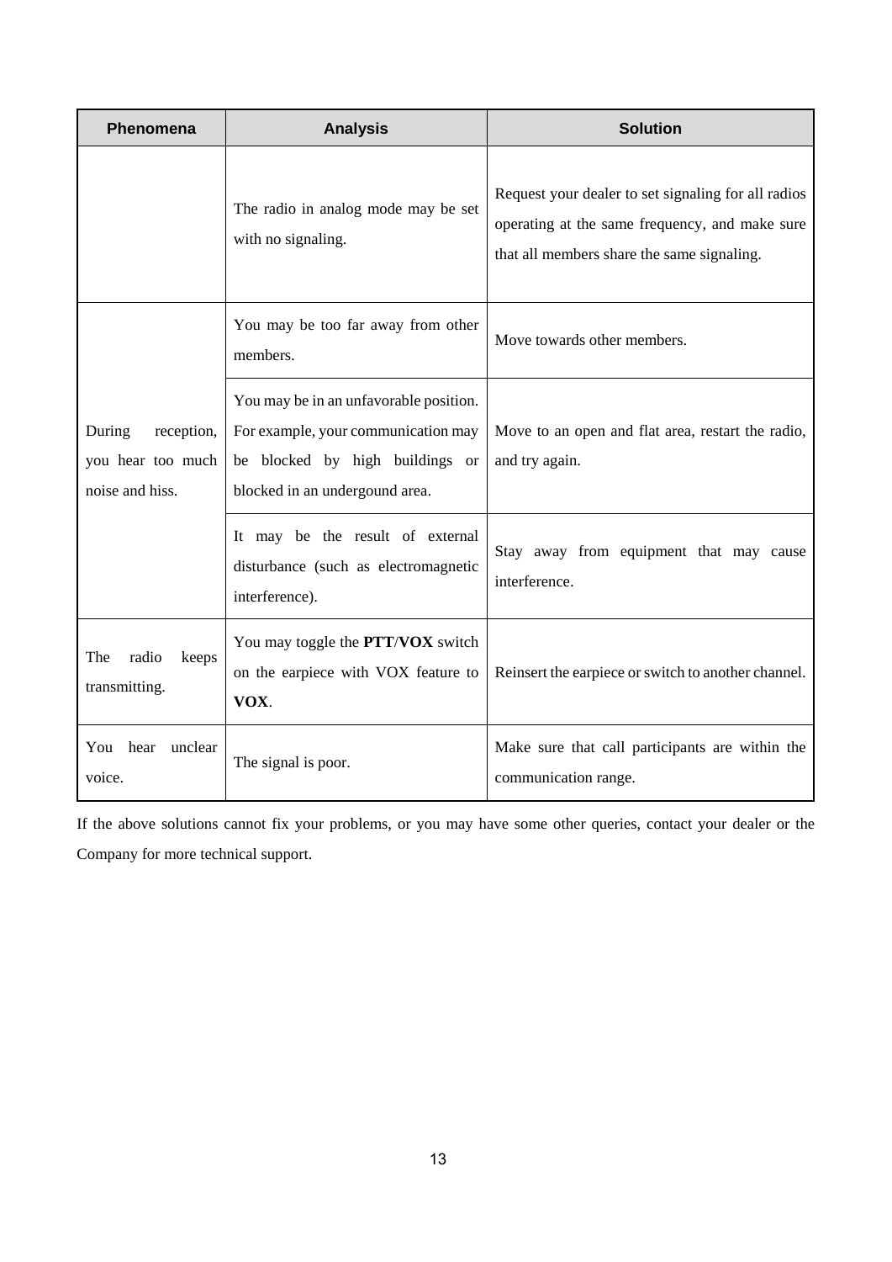| Phenomena                                                    | <b>Analysis</b>                                                                                                                                    | <b>Solution</b>                                                                                                                                     |
|--------------------------------------------------------------|----------------------------------------------------------------------------------------------------------------------------------------------------|-----------------------------------------------------------------------------------------------------------------------------------------------------|
|                                                              | The radio in analog mode may be set<br>with no signaling.                                                                                          | Request your dealer to set signaling for all radios<br>operating at the same frequency, and make sure<br>that all members share the same signaling. |
|                                                              | You may be too far away from other<br>members.                                                                                                     | Move towards other members.                                                                                                                         |
| During<br>reception,<br>you hear too much<br>noise and hiss. | You may be in an unfavorable position.<br>For example, your communication may<br>be blocked by high buildings or<br>blocked in an undergound area. | Move to an open and flat area, restart the radio,<br>and try again.                                                                                 |
|                                                              | It may be the result of external<br>disturbance (such as electromagnetic<br>interference).                                                         | Stay away from equipment that may cause<br>interference.                                                                                            |
| radio<br>The<br>keeps<br>transmitting.                       | You may toggle the PTT/VOX switch<br>on the earpiece with VOX feature to<br>VOX.                                                                   | Reinsert the earpiece or switch to another channel.                                                                                                 |
| You hear unclear<br>voice.                                   | The signal is poor.                                                                                                                                | Make sure that call participants are within the<br>communication range.                                                                             |

If the above solutions cannot fix your problems, or you may have some other queries, contact your dealer or the Company for more technical support.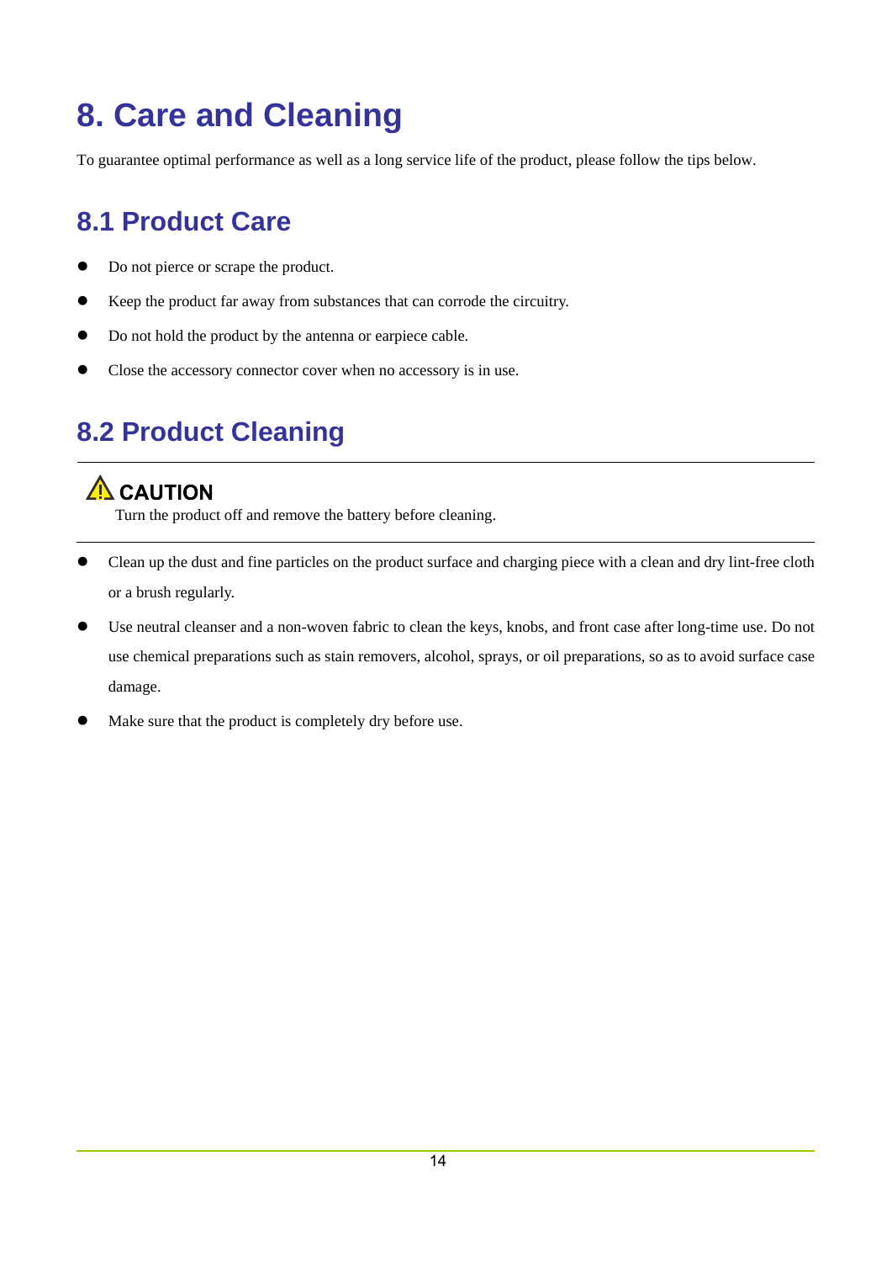### <span id="page-17-0"></span>**8. Care and Cleaning**

To guarantee optimal performance as well as a long service life of the product, please follow the tips below.

### <span id="page-17-1"></span>**8.1 Product Care**

- Do not pierce or scrape the product.
- Keep the product far away from substances that can corrode the circuitry.
- Do not hold the product by the antenna or earpiece cable.
- Close the accessory connector cover when no accessory is in use.

### <span id="page-17-2"></span>**8.2 Product Cleaning**

#### $\Lambda$  CAUTION

Turn the product off and remove the battery before cleaning.

- Clean up the dust and fine particles on the product surface and charging piece with a clean and dry lint-free cloth or a brush regularly.
- Use neutral cleanser and a non-woven fabric to clean the keys, knobs, and front case after long-time use. Do not use chemical preparations such as stain removers, alcohol, sprays, or oil preparations, so as to avoid surface case damage.
- Make sure that the product is completely dry before use.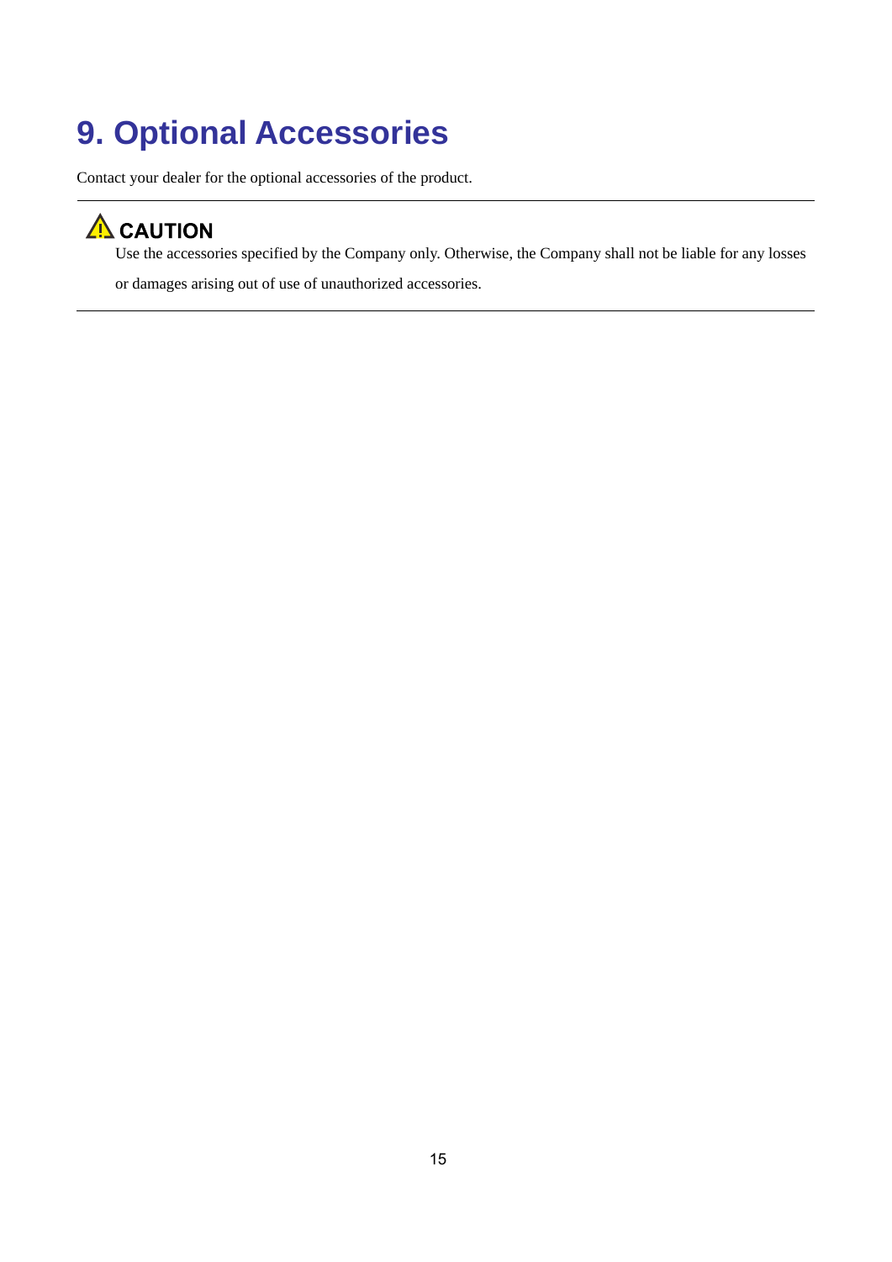### <span id="page-18-0"></span>**9. Optional Accessories**

Contact your dealer for the optional accessories of the product.

### $\Lambda$  CAUTION

Use the accessories specified by the Company only. Otherwise, the Company shall not be liable for any losses or damages arising out of use of unauthorized accessories.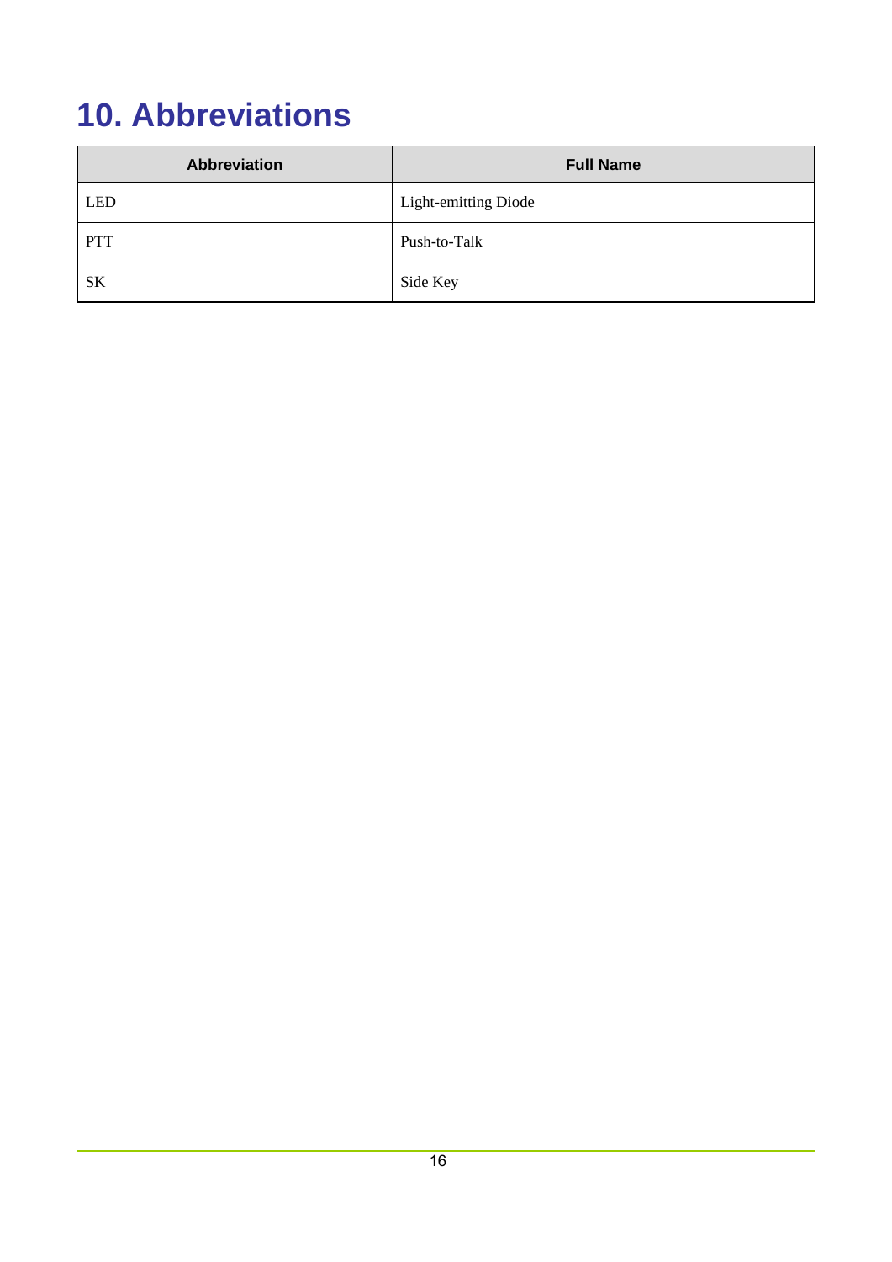### <span id="page-19-0"></span>**10. Abbreviations**

| Abbreviation | <b>Full Name</b>            |
|--------------|-----------------------------|
| LED          | <b>Light-emitting Diode</b> |
| PTT          | Push-to-Talk                |
| <b>SK</b>    | Side Key                    |